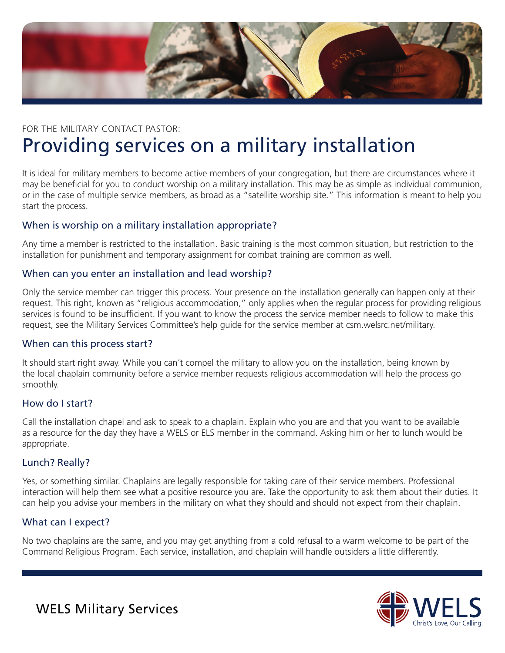

# FOR THE MILITARY CONTACT PASTOR: Providing services on a military installation

It is ideal for military members to become active members of your congregation, but there are circumstances where it may be beneficial for you to conduct worship on a military installation. This may be as simple as individual communion, or in the case of multiple service members, as broad as a "satellite worship site." This information is meant to help you start the process.

# When is worship on a military installation appropriate?

Any time a member is restricted to the installation. Basic training is the most common situation, but restriction to the installation for punishment and temporary assignment for combat training are common as well.

# When can you enter an installation and lead worship?

Only the service member can trigger this process. Your presence on the installation generally can happen only at their request. This right, known as "religious accommodation," only applies when the regular process for providing religious services is found to be insufficient. If you want to know the process the service member needs to follow to make this request, see the Military Services Committee's help guide for the service member at csm.welsrc.net/military.

# When can this process start?

It should start right away. While you can't compel the military to allow you on the installation, being known by the local chaplain community before a service member requests religious accommodation will help the process go smoothly.

# How do I start?

Call the installation chapel and ask to speak to a chaplain. Explain who you are and that you want to be available as a resource for the day they have a WELS or ELS member in the command. Asking him or her to lunch would be appropriate.

# Lunch? Really?

Yes, or something similar. Chaplains are legally responsible for taking care of their service members. Professional interaction will help them see what a positive resource you are. Take the opportunity to ask them about their duties. It can help you advise your members in the military on what they should and should not expect from their chaplain.

# What can I expect?

No two chaplains are the same, and you may get anything from a cold refusal to a warm welcome to be part of the Command Religious Program. Each service, installation, and chaplain will handle outsiders a little differently.



WELS Military Services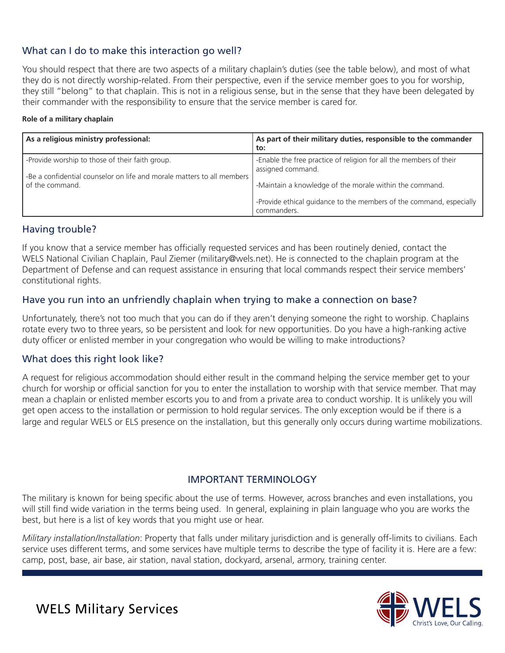# What can I do to make this interaction go well?

You should respect that there are two aspects of a military chaplain's duties (see the table below), and most of what they do is not directly worship-related. From their perspective, even if the service member goes to you for worship, they still "belong" to that chaplain. This is not in a religious sense, but in the sense that they have been delegated by their commander with the responsibility to ensure that the service member is cared for.

#### **Role of a military chaplain**

| As a religious ministry professional:                                                                                     | As part of their military duties, responsible to the commander<br>to:                                                                         |
|---------------------------------------------------------------------------------------------------------------------------|-----------------------------------------------------------------------------------------------------------------------------------------------|
| -Provide worship to those of their faith group.<br>-Be a confidential counselor on life and morale matters to all members | -Enable the free practice of religion for all the members of their<br>assigned command.                                                       |
| of the command.                                                                                                           | -Maintain a knowledge of the morale within the command.<br>-Provide ethical guidance to the members of the command, especially<br>commanders. |

# Having trouble?

If you know that a service member has officially requested services and has been routinely denied, contact the WELS National Civilian Chaplain, Paul Ziemer (military@wels.net). He is connected to the chaplain program at the Department of Defense and can request assistance in ensuring that local commands respect their service members' constitutional rights.

# Have you run into an unfriendly chaplain when trying to make a connection on base?

Unfortunately, there's not too much that you can do if they aren't denying someone the right to worship. Chaplains rotate every two to three years, so be persistent and look for new opportunities. Do you have a high-ranking active duty officer or enlisted member in your congregation who would be willing to make introductions?

# What does this right look like?

A request for religious accommodation should either result in the command helping the service member get to your church for worship or official sanction for you to enter the installation to worship with that service member. That may mean a chaplain or enlisted member escorts you to and from a private area to conduct worship. It is unlikely you will get open access to the installation or permission to hold regular services. The only exception would be if there is a large and regular WELS or ELS presence on the installation, but this generally only occurs during wartime mobilizations.

# IMPORTANT TERMINOLOGY

The military is known for being specific about the use of terms. However, across branches and even installations, you will still find wide variation in the terms being used. In general, explaining in plain language who you are works the best, but here is a list of key words that you might use or hear.

*Military installation/Installation*: Property that falls under military jurisdiction and is generally off-limits to civilians. Each service uses different terms, and some services have multiple terms to describe the type of facility it is. Here are a few: camp, post, base, air base, air station, naval station, dockyard, arsenal, armory, training center.



WELS Military Services